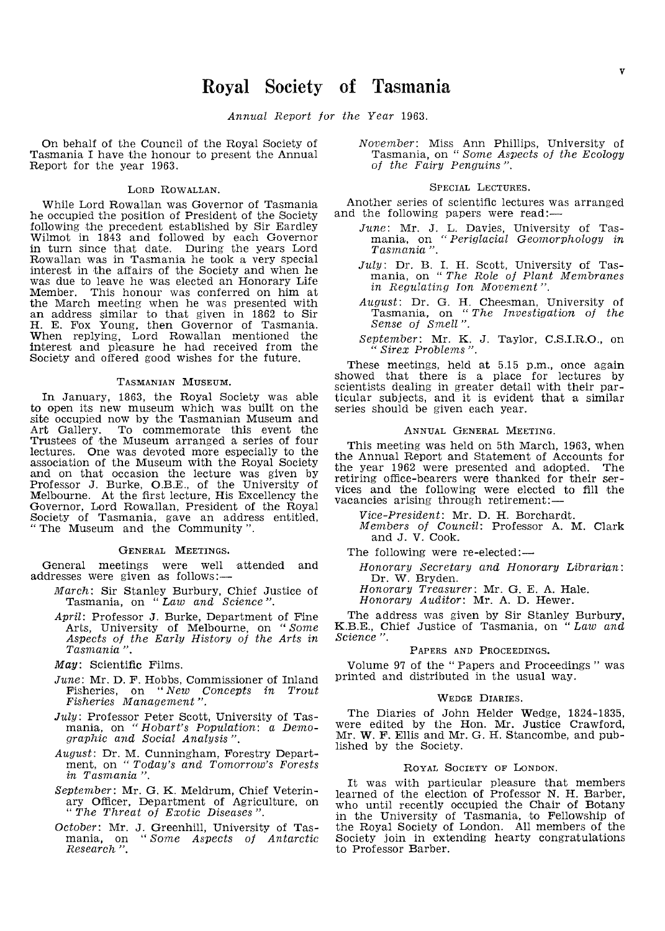Annual Report for the Year 1963.

On behalf of the Council of the Royal Society of Tasmania I have the honour to present the Annual Report for the year 1963.

### LORD ROWALLAN.

While Lord Howallan was Governor of Tasmania he occupied the position of President of the Society following the precedent established by Sir Eardley Wilmot in 1843 and followed by each Governor in turn since that date. During the years Lord Rowallan was in Tasmania he took a very special interest in the affairs of the Society and when he was due to leave he was elected an Honorary Life Member. This honour was conferred on him at the March meeting when he was presented with the March meeting when he was presented with an address similar to that given in 1862 to Sir H. E. Fox Young, then Governor of Tasmania. When replying, Lord Rowallan mentioned the interest and p1easure he had received from the Society and offered good wishes for the future.

### TASMANIAN MUSEUM.

In January, 1863, the Royal Society was able to open its new museum which was built on the site occupied now by the Tasmanian Museum and Art Gallery. To commemorate this event the Trustees of the Museum arranged a series of four lectures. One was devoted more especially to the association of the Museum with the Hoyal Society and on that occasion the lecture was given by Professor J. Burke, O.B.E.. of the University of Melbourne. At the first lecture, His Excellency the Governor, Lord Rowallan, President of the Royal Society of Tasmania. gave an address entitled, "The Museum and the Community".

### GENERAL MEETINGS.

General meetings were well attended and addresses were given as follows:-

- March: Sir Stanley Burbury, Chief Justice of Tasmania, on "Law and Science ".
- April: Professor J. Burke, Department of Fine Arts, University of Melbourne, on "Some Aspects of the Early History of the Arts in Tasmania ",
- May: Scientific Films.
- June: Mr. D. F. Hobbs, Commissioner of Inland Fisheries, on "New Concepts in Trout<br>Fisheries Management".
- $July: Professor Peter Scott, University of Tas$ mania, on "Hobart's Population: *a* Demographic and Social Analysis'
- August: Dr. M. Cunningham, Forestry Department, on "Today's and Tomorrow's Forests in Tasmania".
- September: Mr. G. K. Meldrum, Chief Veterinary Officer, Department of Agriculture, on "The Threat of Exotic Diseases".
- October: Mr. J. Greenhill, University of Tas-<br>mania, on "Some Aspects of Antarctic Research ",

November: Miss Ann Phillips. University of Tasmania, on " Some Aspects oj the Ecology oj the Fairy Penguins".

# SPECIAL LECTURES.

Another series of scientific lectures was arranged and the following papers were read:—

- June: Mr. J. L. Davies, mania, on "Periglacial Geomorphology in<br>Tasmania".
- July: Dr. B. I. H. Scott, University of Tas-<br>mania, on "The Role of Plant Membranes *in* Regulating *ion* Movement".
- Dr. G. H. Cheesman, University of the Investigation of the Sense of Smell".
- September: Mr. K. J. Taylor, C.S.I.R.O., on " Sirex Problems".

These meetings, held at 5.15 p.m., once again showed that there is a place for lectures by scientists dealing in greater detail with their particular subjects, and it is evident that a similar series should be given each year.

# ANNUAL GENERAL MEETING.

This meeting was held on 5th March, 1963, when the Annual Report and Statement of Accounts for<br>the year 1962 were presented and adopted. The the year 1962 were presented and adopted. The retiring office-bearers were thanked for their services and the following were elected to fill the vacancies arising through retirement:-

Vice-President: Mr. D. H. Borchardt, Members of Council: Professor A. M. Clark and J. V. Cook.

The following were re-elected:-

Honorary Secretary and Honorary Librarian: Dr. W. Bryden.

Honorary Treasurer: Mr. G. E. A. Hale.

Honorary Auditor: Mr. A. D. Hewer.

The address was given by Sir Stanley Burbury, K.B.E., Chief Justice of Tasmania, on "Law and Science".

# PAPERS AND PROCEEDINGS.

Volume 97 of the" Papers and Proceedings" was printed and distributed in the usual way.

### WEDGE DIARIES.

The Diaries of John Helder Wedge, 1824-1835, were edited by the Hon. Mr. Justice Crawford, Mr. W. F. Ellis and Mr. G. H. Stancombe, and published by the Society.

# ROYAL SOCIETY OF LONDON.

It was with particular pleasure that members learned of the election of Professor N. H. Barber, who until recently occupied the Chair of Botany in the University of Tasmania, to Fellowship of the Royal Society of London. All members of the Society join in extending hearty congratulations to Professor Barber.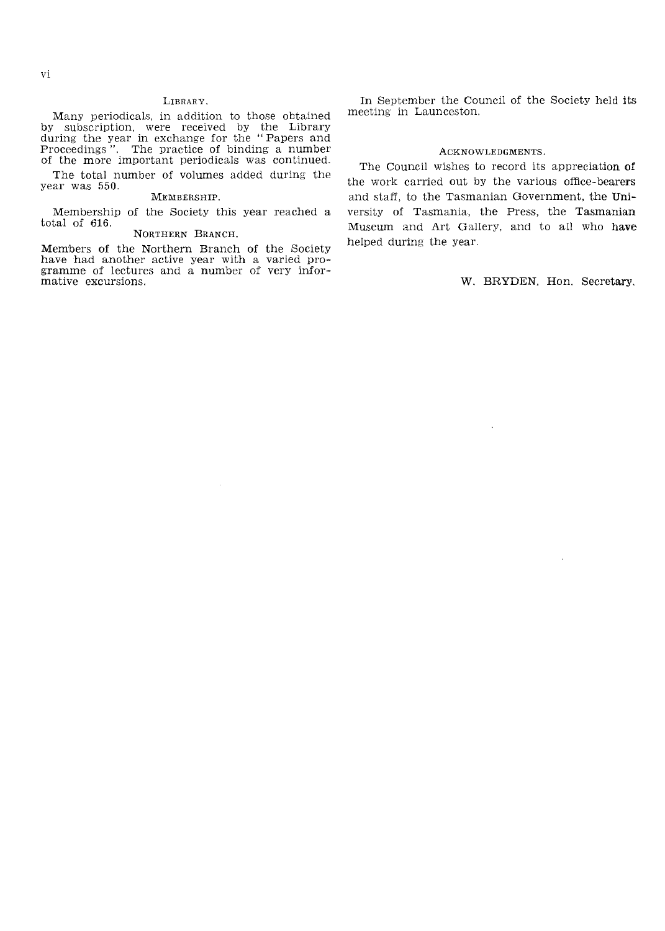# **LIBRARY.**

Many periodicals, in addition to those obtained by subscription, were received by the Library<br>during the year in exchange for the "Papers and Proceedings". The practice of binding a number of the more important periodicals was continued.

The total number of volumes added during the year was 550. MEMBERSHIP.

Membership of the Society this year reached a total of 616.

# NORTHERN BRANCH,

Members of the Northern Branch of the Society have had another active year with a varied gramme of lectures and a number of very mative excursions.

In September the Council of the Society held its meeting in Launceston.

# ACKNOWLEDGMENTS.

The Council wishes to record its appreciation of the work carried out by the various office-bearers and staff, to the Tasmanian Government, the University of Tasmania, the Press, the Tasmanian Museum and Art Gallery, and to all who have helped during the year.

W. BRYDEN, Hon. Secretary.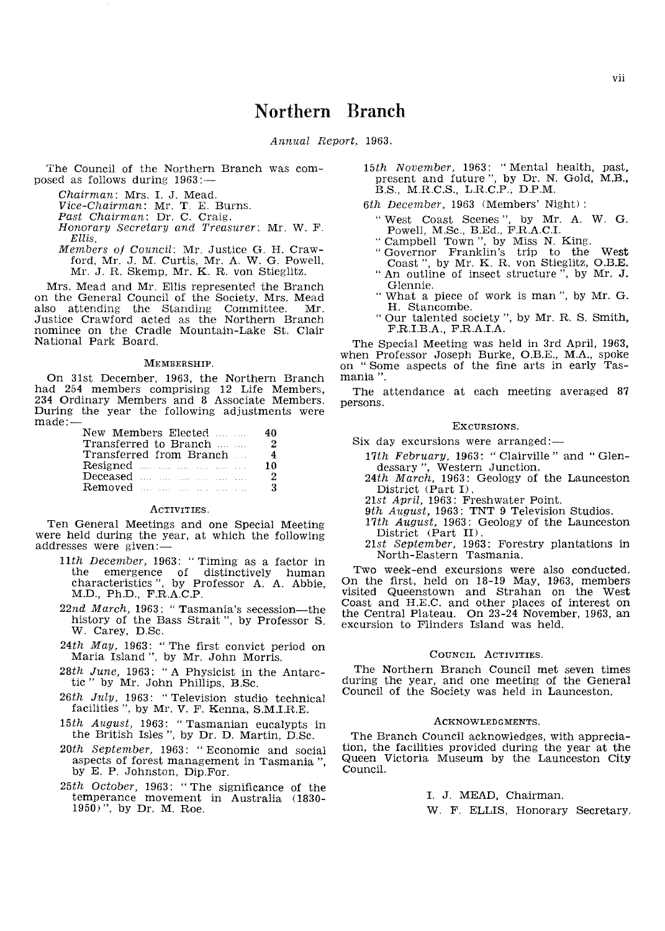# Northern Branch

Annual Report, 1963.

The Council of the Northern Branch was com-<br>posed as follows during  $1963 :=$ 

Chairman: Mrs. I. J. Mead.

Vice-Chairman: Mr. T. E. Burns,

Past Chairman: Dr. C. Craig.

Honorary Secretary and Treasurer: Mr. W. F. *Ellis,* 

Members of Council: Mr. Justice G. H. Craw-<br>ford, Mr. J. M. Curtis, Mr. A. W. G. Powell, Mr. J. R. Skemp, Mr. K. R. von Stieglitz.

Mrs, Mead and Mr. Ellis represented the Branch on the General Council of the Society, Mrs. Mead also attending the Standing Committee. Mr. also attending the Standing Committee. Justice Crawford acted as the Northern Branch nominee on the Cradle Mountain-Lake St, Clair National Park Board,

### MEMBERSHIP,

On 31st December, 1963, the Northern Branch had 254 members comprising 12 Life Members, 234 Ordinary Members and 8 Associate Members, During the year the following adjustments were made:—

| New Members Elected     | 40             |
|-------------------------|----------------|
| Transferred to Branch   | 2              |
| Transferred from Branch | $\overline{4}$ |
| Resigned                | 10             |
| Deceased                | 2              |
| <b>Removed</b>          | 3              |

### ACTIVITIES,

Ten General Meetings and one Special Meeting were held during the year, at which the following addresses were given:—

- 11th December, 1963: "Timing as a factor in the emergence of distinctively human characteristics", by Professor A. A. Abbie, M.D., Ph.D., F.R.A.C.P.
- $22nd$  March, 1963: "Tasmania's secession-the history of the Bass Strait ", by Professor S. W, Carey, D,Se,
- $24th$  May, 1963: "The first convict period on Maria Island", by Mr. John Morris.
- 28th June, 1963: "A Physicist in the Antarctic" by Mr. John Phillips, B.Sc.
- $26th$  July, 1963: "Television studio technical facilities ", by Mr. V. F. Kenna, S.M.I.R.E.
- 15th August, 1963: "Tasmanian eucalypts in the British Isles ", by Dr. D. Martin, D.Sc.
- 20th September, 1963: "Economic and social aspects of forest management in Tasmania "<br>by E. P. Johnston, Dip.For.
- 25th October, 1963: "The significance of the temperance movement in Australia \1830- 1950) ", by Dr. M, Roe,
- " Mental health, ", by Dr. N. Gold, B.S., M.R.C.S., L.R.C.P., D.P.M.
- 6th December, 1963 (Members' Night) :
	- "West Coast Scenes ", by Mr. A. W. G. Powell, M.Sc., B.Ed., F.R.A.C.I.
	- "Campbell Town", by Miss N. King.
	- " Governor Franklin's trip to the West Coast", by Mr. K. R. von Stieglitz, O.B.E.<br>"An outline of insect structure", by Mr. J. "Governor Franklin's trip to the West
	- Glennie. " An outline of insect structure", by Mr. J.
	- "What a piece of work. is man ", by Mr, G, H. Stancombe.
	- " Our talented society", by Mr. R. S. Smith, F.R.LBA, F,RALA.

The Special Meeting was held in 3rd April, 1963, when Professor Joseph Burke, O,RE., M.A., spoke on "Some aspects of the fine arts in early Tasmania ",

The attendance at each meeting averaged <sup>87</sup> persons,

### EXCURSIONS,

- Six day excursions were arranged:-
	- 17th February, 1963: "Clairville" and "Glen-
	- dessary", Western Junction.<br>24th March, 1963: Geology of the Launceston District (Part D.
	- 21st April, 1963. Freshwater Point.
	- 9th August, 1963: TNT 9 Television Studios.
	- 17th August, 1963: Geology of the Launceston District (Part II),
	- 21st September, 1963: Forestry plantations in North-Eastern Tasmania,

Two week-end excursions were also conducted, On the first, held on 18-19 May, 1963, members visited Queenstown and Strahan on the West Coast and H,E.C. and other places of interest on the Central Plateau. On 23-24 November, 1963, an excursion to Flinders Island was held.

### COUNCIL ACTIVITIES,

The Northern Branch Council met seven times during the year, and one meeting of the General Council of the Society was held in Launceston.

# ACKNOWLEDGMENTS.

The Branch Council acknowledges, with appreciation, the facilities provided during the year at the Queen Victoria Museum by the Launceston City CounciL

> L J, MEAD, Chairman, W, F, ELLIS, Honorary Secretary,